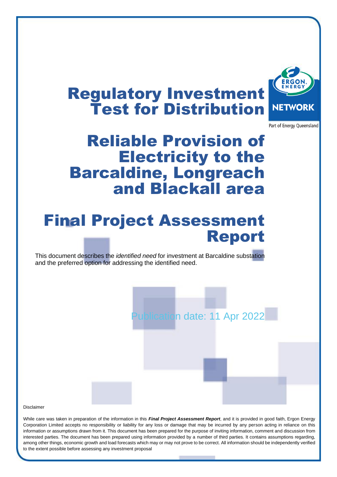# Regulatory Investment Test for Distribution



Part of Energy Queensland

# Reliable Provision of Electricity to the Barcaldine, Longreach and Blackall area

# Final Project Assessment Report

This document describes the *identified need* for investment at Barcaldine substation and the preferred option for addressing the identified need.

pation date: 11 Apr 2022

Disclaimer

While care was taken in preparation of the information in this *Final Project Assessment Report*, and it is provided in good faith, Ergon Energy Corporation Limited accepts no responsibility or liability for any loss or damage that may be incurred by any person acting in reliance on this information or assumptions drawn from it. This document has been prepared for the purpose of inviting information, comment and discussion from interested parties. The document has been prepared using information provided by a number of third parties. It contains assumptions regarding, among other things, economic growth and load forecasts which may or may not prove to be correct. All information should be independently verified to the extent possible before assessing any investment proposal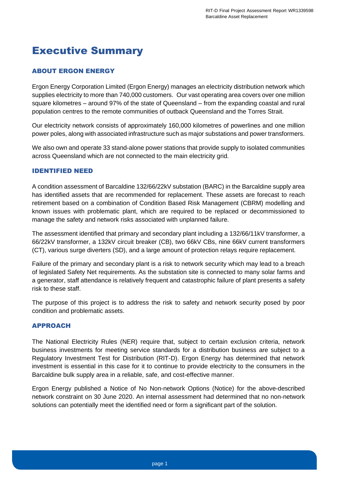## <span id="page-1-0"></span>Executive Summary

#### <span id="page-1-1"></span>ABOUT ERGON ENERGY

Ergon Energy Corporation Limited (Ergon Energy) manages an electricity distribution network which supplies electricity to more than 740,000 customers. Our vast operating area covers over one million square kilometres – around 97% of the state of Queensland – from the expanding coastal and rural population centres to the remote communities of outback Queensland and the Torres Strait.

Our electricity network consists of approximately 160,000 kilometres of powerlines and one million power poles, along with associated infrastructure such as major substations and power transformers.

We also own and operate 33 stand-alone power stations that provide supply to isolated communities across Queensland which are not connected to the main electricity grid.

#### <span id="page-1-2"></span>IDENTIFIED NEED

A condition assessment of Barcaldine 132/66/22kV substation (BARC) in the Barcaldine supply area has identified assets that are recommended for replacement. These assets are forecast to reach retirement based on a combination of Condition Based Risk Management (CBRM) modelling and known issues with problematic plant, which are required to be replaced or decommissioned to manage the safety and network risks associated with unplanned failure.

The assessment identified that primary and secondary plant including a 132/66/11kV transformer, a 66/22kV transformer, a 132kV circuit breaker (CB), two 66kV CBs, nine 66kV current transformers (CT), various surge diverters (SD), and a large amount of protection relays require replacement.

Failure of the primary and secondary plant is a risk to network security which may lead to a breach of legislated Safety Net requirements. As the substation site is connected to many solar farms and a generator, staff attendance is relatively frequent and catastrophic failure of plant presents a safety risk to these staff.

The purpose of this project is to address the risk to safety and network security posed by poor condition and problematic assets.

#### <span id="page-1-3"></span>APPROACH

The National Electricity Rules (NER) require that, subject to certain exclusion criteria, network business investments for meeting service standards for a distribution business are subject to a Regulatory Investment Test for Distribution (RIT-D). Ergon Energy has determined that network investment is essential in this case for it to continue to provide electricity to the consumers in the Barcaldine bulk supply area in a reliable, safe, and cost-effective manner.

Ergon Energy published a Notice of No Non-network Options (Notice) for the above-described network constraint on 30 June 2020. An internal assessment had determined that no non-network solutions can potentially meet the identified need or form a significant part of the solution.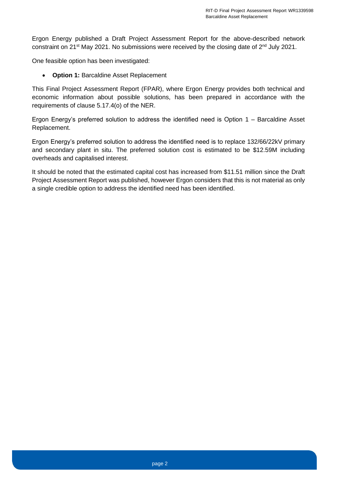Ergon Energy published a Draft Project Assessment Report for the above-described network constraint on 21<sup>st</sup> May 2021. No submissions were received by the closing date of 2<sup>nd</sup> July 2021.

One feasible option has been investigated:

• **Option 1:** Barcaldine Asset Replacement

This Final Project Assessment Report (FPAR), where Ergon Energy provides both technical and economic information about possible solutions, has been prepared in accordance with the requirements of clause 5.17.4(o) of the NER.

Ergon Energy's preferred solution to address the identified need is Option 1 – Barcaldine Asset Replacement.

Ergon Energy's preferred solution to address the identified need is to replace 132/66/22kV primary and secondary plant in situ. The preferred solution cost is estimated to be \$12.59M including overheads and capitalised interest.

It should be noted that the estimated capital cost has increased from \$11.51 million since the Draft Project Assessment Report was published, however Ergon considers that this is not material as only a single credible option to address the identified need has been identified.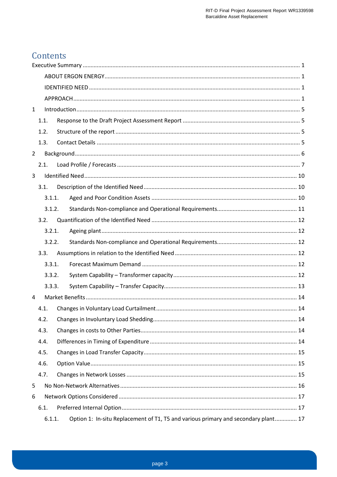## Contents

| 1              |                                                                                              |  |  |  |  |
|----------------|----------------------------------------------------------------------------------------------|--|--|--|--|
|                | 1.1.                                                                                         |  |  |  |  |
|                | 1.2.                                                                                         |  |  |  |  |
|                | 1.3.                                                                                         |  |  |  |  |
| $\overline{2}$ |                                                                                              |  |  |  |  |
|                | 2.1.                                                                                         |  |  |  |  |
| 3              |                                                                                              |  |  |  |  |
|                | 3.1.                                                                                         |  |  |  |  |
|                | 3.1.1.                                                                                       |  |  |  |  |
|                | 3.1.2.                                                                                       |  |  |  |  |
|                | 3.2.                                                                                         |  |  |  |  |
|                | 3.2.1.                                                                                       |  |  |  |  |
|                | 3.2.2.                                                                                       |  |  |  |  |
|                | 3.3.                                                                                         |  |  |  |  |
|                | 3.3.1.                                                                                       |  |  |  |  |
|                | 3.3.2.                                                                                       |  |  |  |  |
|                | 3.3.3.                                                                                       |  |  |  |  |
| 4              |                                                                                              |  |  |  |  |
|                | 4.1.                                                                                         |  |  |  |  |
|                | 4.2.                                                                                         |  |  |  |  |
|                | 4.3.                                                                                         |  |  |  |  |
|                | 4.4.                                                                                         |  |  |  |  |
|                | 4.5.                                                                                         |  |  |  |  |
|                | 4.6.                                                                                         |  |  |  |  |
|                | 4.7.                                                                                         |  |  |  |  |
| 5              |                                                                                              |  |  |  |  |
| 6              |                                                                                              |  |  |  |  |
|                | 6.1.                                                                                         |  |  |  |  |
|                | Option 1: In-situ Replacement of T1, T5 and various primary and secondary plant 17<br>6.1.1. |  |  |  |  |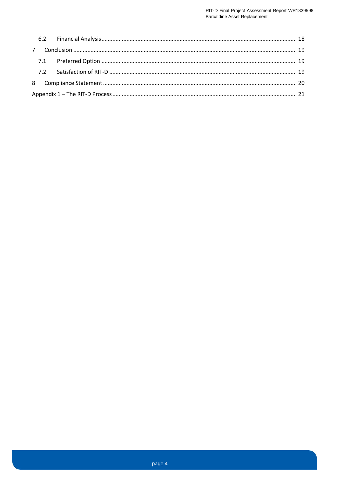<span id="page-4-0"></span>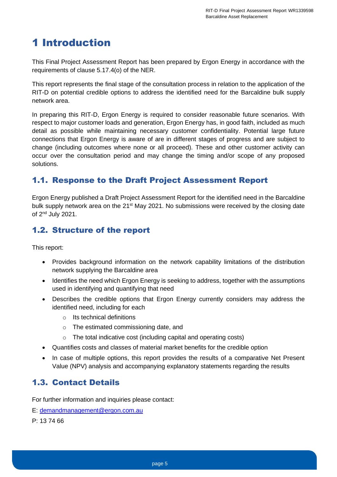## 1 Introduction

This Final Project Assessment Report has been prepared by Ergon Energy in accordance with the requirements of clause 5.17.4(o) of the NER.

This report represents the final stage of the consultation process in relation to the application of the RIT-D on potential credible options to address the identified need for the Barcaldine bulk supply network area.

In preparing this RIT-D, Ergon Energy is required to consider reasonable future scenarios. With respect to major customer loads and generation, Ergon Energy has, in good faith, included as much detail as possible while maintaining necessary customer confidentiality. Potential large future connections that Ergon Energy is aware of are in different stages of progress and are subject to change (including outcomes where none or all proceed). These and other customer activity can occur over the consultation period and may change the timing and/or scope of any proposed solutions.

## <span id="page-5-0"></span>1.1. Response to the Draft Project Assessment Report

Ergon Energy published a Draft Project Assessment Report for the identified need in the Barcaldine bulk supply network area on the 21<sup>st</sup> May 2021. No submissions were received by the closing date of 2<sup>nd</sup> July 2021.

## <span id="page-5-1"></span>1.2. Structure of the report

This report:

- Provides background information on the network capability limitations of the distribution network supplying the Barcaldine area
- Identifies the need which Ergon Energy is seeking to address, together with the assumptions used in identifying and quantifying that need
- Describes the credible options that Ergon Energy currently considers may address the identified need, including for each
	- o Its technical definitions
	- o The estimated commissioning date, and
	- o The total indicative cost (including capital and operating costs)
- Quantifies costs and classes of material market benefits for the credible option
- In case of multiple options, this report provides the results of a comparative Net Present Value (NPV) analysis and accompanying explanatory statements regarding the results

## <span id="page-5-2"></span>1.3. Contact Details

For further information and inquiries please contact:

E: [demandmanagement@ergon.com.au](mailto:demandmanagement@ergon.com.au)

P: 13 74 66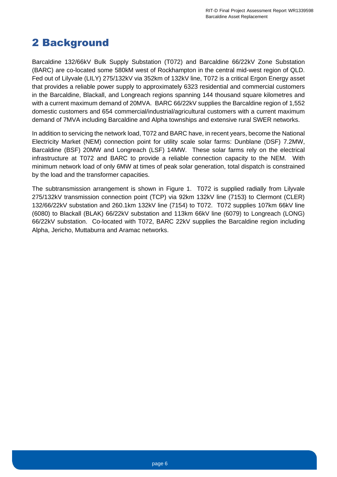## <span id="page-6-0"></span>2 Background

Barcaldine 132/66kV Bulk Supply Substation (T072) and Barcaldine 66/22kV Zone Substation (BARC) are co-located some 580kM west of Rockhampton in the central mid-west region of QLD. Fed out of Lilyvale (LILY) 275/132kV via 352km of 132kV line, T072 is a critical Ergon Energy asset that provides a reliable power supply to approximately 6323 residential and commercial customers in the Barcaldine, Blackall, and Longreach regions spanning 144 thousand square kilometres and with a current maximum demand of 20MVA. BARC 66/22kV supplies the Barcaldine region of 1,552 domestic customers and 654 commercial/industrial/agricultural customers with a current maximum demand of 7MVA including Barcaldine and Alpha townships and extensive rural SWER networks.

In addition to servicing the network load, T072 and BARC have, in recent years, become the National Electricity Market (NEM) connection point for utility scale solar farms: Dunblane (DSF) 7.2MW, Barcaldine (BSF) 20MW and Longreach (LSF) 14MW. These solar farms rely on the electrical infrastructure at T072 and BARC to provide a reliable connection capacity to the NEM. With minimum network load of only 6MW at times of peak solar generation, total dispatch is constrained by the load and the transformer capacities.

The subtransmission arrangement is shown in [Figure 1.](#page-7-1) T072 is supplied radially from Lilyvale 275/132kV transmission connection point (TCP) via 92km 132kV line (7153) to Clermont (CLER) 132/66/22kV substation and 260.1km 132kV line (7154) to T072. T072 supplies 107km 66kV line (6080) to Blackall (BLAK) 66/22kV substation and 113km 66kV line (6079) to Longreach (LONG) 66/22kV substation. Co-located with T072, BARC 22kV supplies the Barcaldine region including Alpha, Jericho, Muttaburra and Aramac networks.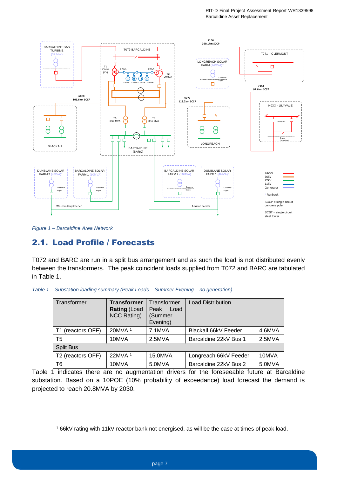

<span id="page-7-1"></span>*Figure 1 – Barcaldine Area Network*

## <span id="page-7-0"></span>2.1. Load Profile / Forecasts

T072 and BARC are run in a split bus arrangement and as such the load is not distributed evenly between the transformers. The peak coincident loads supplied from T072 and BARC are tabulated in [Table 1.](#page-7-2)

<span id="page-7-2"></span>*Table 1 – Substation loading summary (Peak Loads – Summer Evening – no generation)*

<span id="page-7-3"></span>

| Transformer       | <b>Transformer</b><br><b>Rating (Load</b><br><b>NCC Rating)</b> | Transformer<br>Peak<br>Load<br>(Summer<br>Evening) | <b>Load Distribution</b> |        |
|-------------------|-----------------------------------------------------------------|----------------------------------------------------|--------------------------|--------|
| T1 (reactors OFF) | 20MVA <sup>1</sup>                                              | 7.1MVA                                             | Blackall 66kV Feeder     | 4.6MVA |
| T <sub>5</sub>    | 10MVA                                                           | 2.5MVA                                             | Barcaldine 22kV Bus 1    | 2.5MVA |
| <b>Split Bus</b>  |                                                                 |                                                    |                          |        |
| T2 (reactors OFF) | $22$ MVA <sup>1</sup>                                           | 15.0MVA                                            | Longreach 66kV Feeder    | 10MVA  |
| T6                | 10MVA                                                           | 5.0MVA                                             | Barcaldine 22kV Bus 2    | 5.0MVA |

[Table 1](#page-7-2) indicates there are no augmentation drivers for the foreseeable future at Barcaldine substation. Based on a 10POE (10% probability of exceedance) load forecast the demand is projected to reach 20.8MVA by 2030.

<sup>1</sup> 66kV rating with 11kV reactor bank not energised, as will be the case at times of peak load.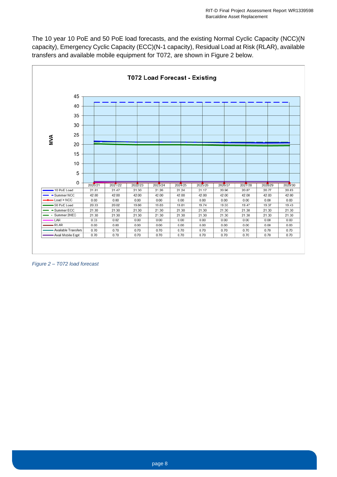The 10 year 10 PoE and 50 PoE load forecasts, and the existing Normal Cyclic Capacity (NCC)(N capacity), Emergency Cyclic Capacity (ECC)(N-1 capacity), Residual Load at Risk (RLAR), available transfers and available mobile equipment for T072, are shown in [Figure 2](#page-8-0) below.



<span id="page-8-0"></span>*Figure 2 – T072 load forecast*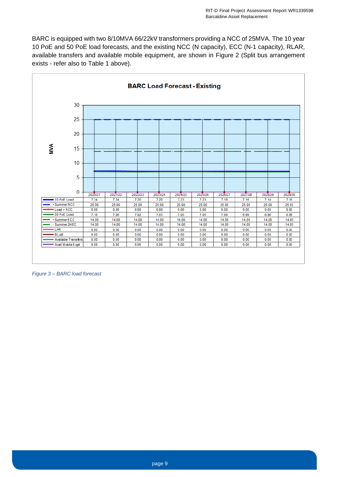BARC is equipped with two 8/10MVA 66/22kV transformers providing a NCC of 25MVA. The 10 year 10 PoE and 50 PoE load forecasts, and the existing NCC (N capacity), ECC (N-1 capacity), RLAR, available transfers and available mobile equipment, are shown in [Figure 2](#page-8-0) (Split bus arrangement exists - refer also to [Table 1](#page-7-2) above).



*Figure 3 – BARC load forecast*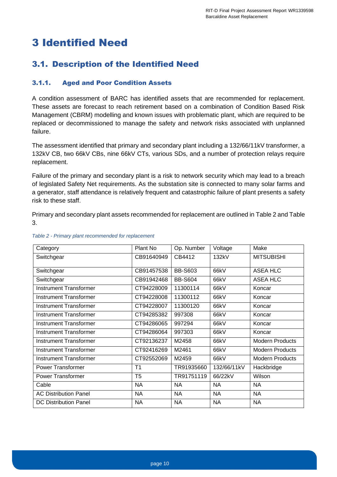## <span id="page-10-0"></span>3 Identified Need

## <span id="page-10-1"></span>3.1. Description of the Identified Need

#### <span id="page-10-2"></span>3.1.1. Aged and Poor Condition Assets

A condition assessment of BARC has identified assets that are recommended for replacement. These assets are forecast to reach retirement based on a combination of Condition Based Risk Management (CBRM) modelling and known issues with problematic plant, which are required to be replaced or decommissioned to manage the safety and network risks associated with unplanned failure.

The assessment identified that primary and secondary plant including a 132/66/11kV transformer, a 132kV CB, two 66kV CBs, nine 66kV CTs, various SDs, and a number of protection relays require replacement.

Failure of the primary and secondary plant is a risk to network security which may lead to a breach of legislated Safety Net requirements. As the substation site is connected to many solar farms and a generator, staff attendance is relatively frequent and catastrophic failure of plant presents a safety risk to these staff.

Primary and secondary plant assets recommended for replacement are outlined in [Table 2](#page-10-3) and [Table](#page-11-1)  [3.](#page-11-1)

| Category                      | Plant No       | Op. Number     | Voltage     | Make                   |
|-------------------------------|----------------|----------------|-------------|------------------------|
| Switchgear                    | CB91640949     | CB4412         | 132kV       | <b>MITSUBISHI</b>      |
| Switchgear                    | CB91457538     | <b>BB-S603</b> | 66kV        | ASEA HLC               |
| Switchgear                    | CB91942468     | <b>BB-S604</b> | 66kV        | ASEA HLC               |
| <b>Instrument Transformer</b> | CT94228009     | 11300114       | 66kV        | Koncar                 |
| Instrument Transformer        | CT94228008     | 11300112       | 66kV        | Koncar                 |
| Instrument Transformer        | CT94228007     | 11300120       | 66kV        | Koncar                 |
| Instrument Transformer        | CT94285382     | 997308         | 66kV        | Koncar                 |
| Instrument Transformer        | CT94286065     | 997294         | 66kV        | Koncar                 |
| Instrument Transformer        | CT94286064     | 997303         | 66kV        | Koncar                 |
| Instrument Transformer        | CT92136237     | M2458          | 66kV        | <b>Modern Products</b> |
| Instrument Transformer        | CT92416269     | M2461          | 66kV        | <b>Modern Products</b> |
| Instrument Transformer        | CT92552069     | M2459          | 66kV        | <b>Modern Products</b> |
| <b>Power Transformer</b>      | T <sub>1</sub> | TR91935660     | 132/66/11kV | Hackbridge             |
| Power Transformer             | T <sub>5</sub> | TR91751119     | 66/22kV     | Wilson                 |
| Cable                         | <b>NA</b>      | <b>NA</b>      | <b>NA</b>   | <b>NA</b>              |
| <b>AC Distribution Panel</b>  | <b>NA</b>      | <b>NA</b>      | <b>NA</b>   | <b>NA</b>              |
| <b>DC Distribution Panel</b>  | <b>NA</b>      | NA             | <b>NA</b>   | <b>NA</b>              |

#### <span id="page-10-3"></span>*Table 2 - Primary plant recommended for replacement*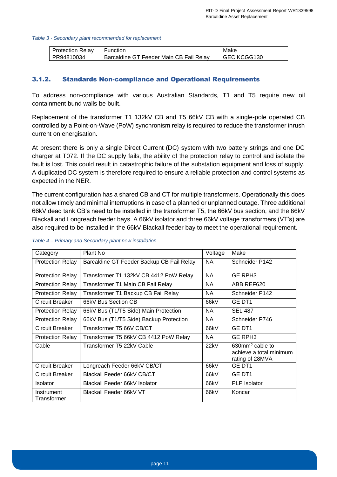#### <span id="page-11-1"></span>*Table 3 - Secondary plant recommended for replacement*

| <b>Protection Relav</b> | <b>Function</b>                         | Make        |
|-------------------------|-----------------------------------------|-------------|
| PR94810034              | Barcaldine GT Feeder Main CB Fail Relay | GEC KCGG130 |

#### <span id="page-11-0"></span>3.1.2. Standards Non-compliance and Operational Requirements

To address non-compliance with various Australian Standards, T1 and T5 require new oil containment bund walls be built.

Replacement of the transformer T1 132kV CB and T5 66kV CB with a single-pole operated CB controlled by a Point-on-Wave (PoW) synchronism relay is required to reduce the transformer inrush current on energisation.

At present there is only a single Direct Current (DC) system with two battery strings and one DC charger at T072. If the DC supply fails, the ability of the protection relay to control and isolate the fault is lost. This could result in catastrophic failure of the substation equipment and loss of supply. A duplicated DC system is therefore required to ensure a reliable protection and control systems as expected in the NER.

The current configuration has a shared CB and CT for multiple transformers. Operationally this does not allow timely and minimal interruptions in case of a planned or unplanned outage. Three additional 66kV dead tank CB's need to be installed in the transformer T5, the 66kV bus section, and the 66kV Blackall and Longreach feeder bays. A 66kV isolator and three 66kV voltage transformers (VT's) are also required to be installed in the 66kV Blackall feeder bay to meet the operational requirement.

| Category                  | Plant No                                  | Voltage   | Make                                                                         |
|---------------------------|-------------------------------------------|-----------|------------------------------------------------------------------------------|
| <b>Protection Relay</b>   | Barcaldine GT Feeder Backup CB Fail Relay | NA.       | Schneider P142                                                               |
| <b>Protection Relay</b>   | Transformer T1 132kV CB 4412 PoW Relay    | <b>NA</b> | GE RPH <sub>3</sub>                                                          |
| <b>Protection Relay</b>   | Transformer T1 Main CB Fail Relay         | <b>NA</b> | ABB REF620                                                                   |
| <b>Protection Relay</b>   | Transformer T1 Backup CB Fail Relay       | <b>NA</b> | Schneider P142                                                               |
| Circuit Breaker           | 66kV Bus Section CB                       | 66kV      | GE DT1                                                                       |
| <b>Protection Relay</b>   | 66kV Bus (T1/T5 Side) Main Protection     | <b>NA</b> | <b>SEL 487</b>                                                               |
| <b>Protection Relay</b>   | 66kV Bus (T1/T5 Side) Backup Protection   | NA.       | Schneider P746                                                               |
| Circuit Breaker           | Transformer T5 66V CB/CT                  | 66kV      | GE DT1                                                                       |
| <b>Protection Relay</b>   | Transformer T5 66kV CB 4412 PoW Relay     | <b>NA</b> | <b>GE RPH3</b>                                                               |
| Cable                     | Transformer T5 22kV Cable                 | 22kV      | $630$ mm <sup>2</sup> cable to<br>achieve a total minimum<br>rating of 28MVA |
| Circuit Breaker           | Longreach Feeder 66kV CB/CT               | 66kV      | GE DT1                                                                       |
| Circuit Breaker           | Blackall Feeder 66kV CB/CT                | 66kV      | GE DT1                                                                       |
| <b>Isolator</b>           | Blackall Feeder 66kV Isolator             | 66kV      | <b>PLP</b> Isolator                                                          |
| Instrument<br>Transformer | Blackall Feeder 66kV VT                   | 66kV      | Koncar                                                                       |

#### *Table 4 – Primary and Secondary plant new installation*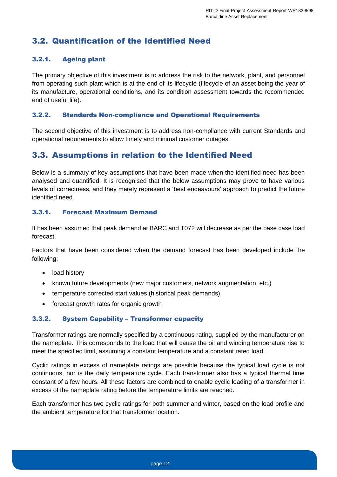## <span id="page-12-0"></span>3.2. Quantification of the Identified Need

#### <span id="page-12-1"></span>3.2.1. Ageing plant

The primary objective of this investment is to address the risk to the network, plant, and personnel from operating such plant which is at the end of its lifecycle (lifecycle of an asset being the year of its manufacture, operational conditions, and its condition assessment towards the recommended end of useful life).

#### <span id="page-12-2"></span>3.2.2. Standards Non-compliance and Operational Requirements

The second objective of this investment is to address non-compliance with current Standards and operational requirements to allow timely and minimal customer outages.

### <span id="page-12-3"></span>3.3. Assumptions in relation to the Identified Need

Below is a summary of key assumptions that have been made when the identified need has been analysed and quantified. It is recognised that the below assumptions may prove to have various levels of correctness, and they merely represent a 'best endeavours' approach to predict the future identified need.

#### <span id="page-12-4"></span>3.3.1. Forecast Maximum Demand

It has been assumed that peak demand at BARC and T072 will decrease as per the base case load forecast.

Factors that have been considered when the demand forecast has been developed include the following:

- load history
- known future developments (new major customers, network augmentation, etc.)
- temperature corrected start values (historical peak demands)
- forecast growth rates for organic growth

#### <span id="page-12-5"></span>3.3.2. System Capability – Transformer capacity

Transformer ratings are normally specified by a continuous rating, supplied by the manufacturer on the nameplate. This corresponds to the load that will cause the oil and winding temperature rise to meet the specified limit, assuming a constant temperature and a constant rated load.

Cyclic ratings in excess of nameplate ratings are possible because the typical load cycle is not continuous, nor is the daily temperature cycle. Each transformer also has a typical thermal time constant of a few hours. All these factors are combined to enable cyclic loading of a transformer in excess of the nameplate rating before the temperature limits are reached.

Each transformer has two cyclic ratings for both summer and winter, based on the load profile and the ambient temperature for that transformer location.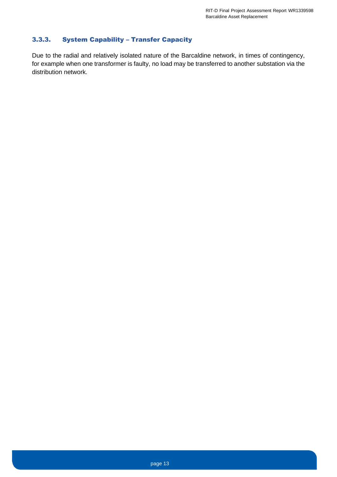#### <span id="page-13-0"></span>3.3.3. System Capability – Transfer Capacity

<span id="page-13-1"></span>Due to the radial and relatively isolated nature of the Barcaldine network, in times of contingency, for example when one transformer is faulty, no load may be transferred to another substation via the distribution network.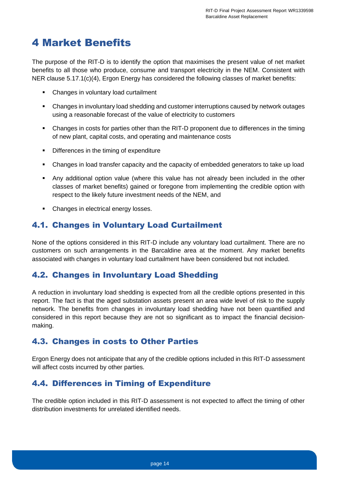## 4 Market Benefits

The purpose of the RIT-D is to identify the option that maximises the present value of net market benefits to all those who produce, consume and transport electricity in the NEM. Consistent with NER clause 5.17.1(c)(4), Ergon Energy has considered the following classes of market benefits:

- Changes in voluntary load curtailment
- Changes in involuntary load shedding and customer interruptions caused by network outages using a reasonable forecast of the value of electricity to customers
- Changes in costs for parties other than the RIT-D proponent due to differences in the timing of new plant, capital costs, and operating and maintenance costs
- Differences in the timing of expenditure
- Changes in load transfer capacity and the capacity of embedded generators to take up load
- Any additional option value (where this value has not already been included in the other classes of market benefits) gained or foregone from implementing the credible option with respect to the likely future investment needs of the NEM, and
- Changes in electrical energy losses.

## <span id="page-14-0"></span>4.1. Changes in Voluntary Load Curtailment

None of the options considered in this RIT-D include any voluntary load curtailment. There are no customers on such arrangements in the Barcaldine area at the moment. Any market benefits associated with changes in voluntary load curtailment have been considered but not included.

### <span id="page-14-1"></span>4.2. Changes in Involuntary Load Shedding

A reduction in involuntary load shedding is expected from all the credible options presented in this report. The fact is that the aged substation assets present an area wide level of risk to the supply network. The benefits from changes in involuntary load shedding have not been quantified and considered in this report because they are not so significant as to impact the financial decisionmaking.

### <span id="page-14-2"></span>4.3. Changes in costs to Other Parties

Ergon Energy does not anticipate that any of the credible options included in this RIT-D assessment will affect costs incurred by other parties.

### <span id="page-14-3"></span>4.4. Differences in Timing of Expenditure

The credible option included in this RIT-D assessment is not expected to affect the timing of other distribution investments for unrelated identified needs.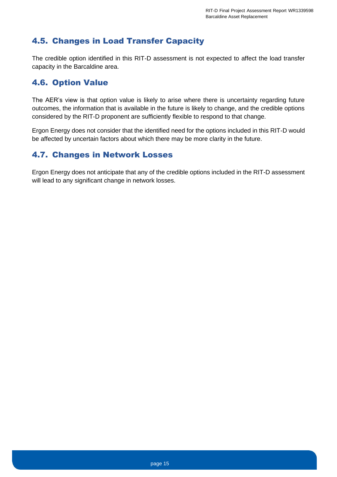## <span id="page-15-0"></span>4.5. Changes in Load Transfer Capacity

The credible option identified in this RIT-D assessment is not expected to affect the load transfer capacity in the Barcaldine area.

## <span id="page-15-1"></span>4.6. Option Value

The AER's view is that option value is likely to arise where there is uncertainty regarding future outcomes, the information that is available in the future is likely to change, and the credible options considered by the RIT-D proponent are sufficiently flexible to respond to that change.

Ergon Energy does not consider that the identified need for the options included in this RIT-D would be affected by uncertain factors about which there may be more clarity in the future.

## <span id="page-15-2"></span>4.7. Changes in Network Losses

<span id="page-15-3"></span>Ergon Energy does not anticipate that any of the credible options included in the RIT-D assessment will lead to any significant change in network losses.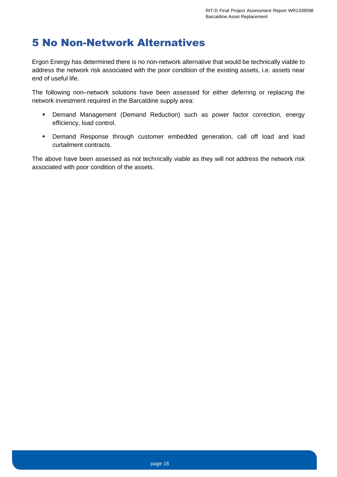## 5 No Non-Network Alternatives

Ergon Energy has determined there is no non-network alternative that would be technically viable to address the network risk associated with the poor condition of the existing assets, i.e. assets near end of useful life.

The following non–network solutions have been assessed for either deferring or replacing the network investment required in the Barcaldine supply area:

- Demand Management (Demand Reduction) such as power factor correction, energy efficiency, load control.
- Demand Response through customer embedded generation, call off load and load curtailment contracts.

<span id="page-16-0"></span>The above have been assessed as not technically viable as they will not address the network risk associated with poor condition of the assets.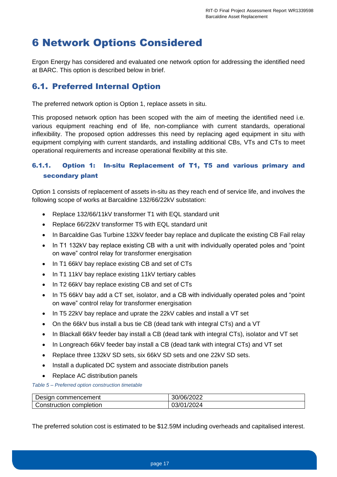## 6 Network Options Considered

Ergon Energy has considered and evaluated one network option for addressing the identified need at BARC. This option is described below in brief.

## <span id="page-17-0"></span>6.1. Preferred Internal Option

The preferred network option is Option 1, replace assets in situ.

This proposed network option has been scoped with the aim of meeting the identified need i.e. various equipment reaching end of life, non-compliance with current standards, operational inflexibility. The proposed option addresses this need by replacing aged equipment in situ with equipment complying with current standards, and installing additional CBs, VTs and CTs to meet operational requirements and increase operational flexibility at this site.

### <span id="page-17-1"></span>6.1.1. Option 1: In-situ Replacement of T1, T5 and various primary and secondary plant

Option 1 consists of replacement of assets in-situ as they reach end of service life, and involves the following scope of works at Barcaldine 132/66/22kV substation:

- Replace 132/66/11kV transformer T1 with EQL standard unit
- Replace 66/22kV transformer T5 with EQL standard unit
- In Barcaldine Gas Turbine 132kV feeder bay replace and duplicate the existing CB Fail relay
- In T1 132kV bay replace existing CB with a unit with individually operated poles and "point" on wave" control relay for transformer energisation
- In T1 66kV bay replace existing CB and set of CTs
- In T1 11kV bay replace existing 11kV tertiary cables
- In T2 66kV bay replace existing CB and set of CTs
- In T5 66kV bay add a CT set, isolator, and a CB with individually operated poles and "point" on wave" control relay for transformer energisation
- In T5 22kV bay replace and uprate the 22kV cables and install a VT set
- On the 66kV bus install a bus tie CB (dead tank with integral CTs) and a VT
- In Blackall 66kV feeder bay install a CB (dead tank with integral CTs), isolator and VT set
- In Longreach 66kV feeder bay install a CB (dead tank with integral CTs) and VT set
- Replace three 132kV SD sets, six 66kV SD sets and one 22kV SD sets.
- Install a duplicated DC system and associate distribution panels
- Replace AC distribution panels

*Table 5 – Preferred option construction timetable*

| commencement<br>⊃esign  | 0010010000<br>UU/ZUZZ<br>וטנ |
|-------------------------|------------------------------|
| Construction completion | 10001<br><br>וטט             |

The preferred solution cost is estimated to be \$12.59M including overheads and capitalised interest.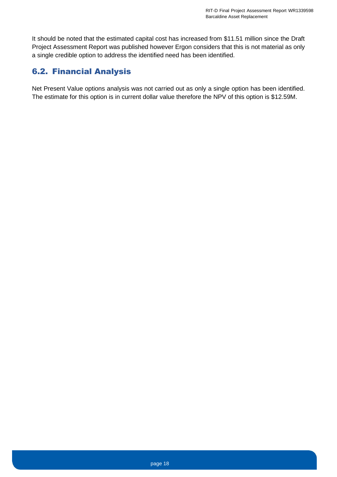It should be noted that the estimated capital cost has increased from \$11.51 million since the Draft Project Assessment Report was published however Ergon considers that this is not material as only a single credible option to address the identified need has been identified.

## <span id="page-18-0"></span>6.2. Financial Analysis

<span id="page-18-1"></span>Net Present Value options analysis was not carried out as only a single option has been identified. The estimate for this option is in current dollar value therefore the NPV of this option is \$12.59M.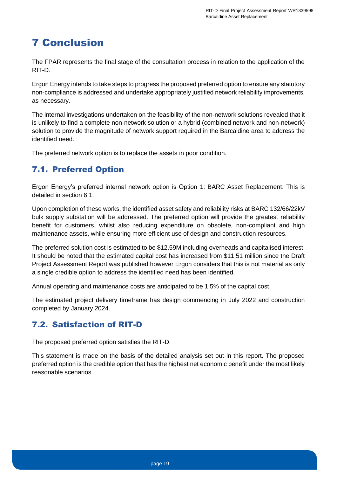## 7 Conclusion

The FPAR represents the final stage of the consultation process in relation to the application of the RIT-D.

Ergon Energy intends to take steps to progress the proposed preferred option to ensure any statutory non-compliance is addressed and undertake appropriately justified network reliability improvements, as necessary.

The internal investigations undertaken on the feasibility of the non-network solutions revealed that it is unlikely to find a complete non-network solution or a hybrid (combined network and non-network) solution to provide the magnitude of network support required in the Barcaldine area to address the identified need.

The preferred network option is to replace the assets in poor condition.

## <span id="page-19-0"></span>7.1. Preferred Option

Ergon Energy's preferred internal network option is Option 1: BARC Asset Replacement. This is detailed in section [6.1.](#page-17-0)

Upon completion of these works, the identified asset safety and reliability risks at BARC 132/66/22kV bulk supply substation will be addressed. The preferred option will provide the greatest reliability benefit for customers, whilst also reducing expenditure on obsolete, non-compliant and high maintenance assets, while ensuring more efficient use of design and construction resources.

The preferred solution cost is estimated to be \$12.59M including overheads and capitalised interest. It should be noted that the estimated capital cost has increased from \$11.51 million since the Draft Project Assessment Report was published however Ergon considers that this is not material as only a single credible option to address the identified need has been identified.

Annual operating and maintenance costs are anticipated to be 1.5% of the capital cost.

The estimated project delivery timeframe has design commencing in July 2022 and construction completed by January 2024.

## <span id="page-19-1"></span>7.2. Satisfaction of RIT-D

The proposed preferred option satisfies the RIT-D.

<span id="page-19-2"></span>This statement is made on the basis of the detailed analysis set out in this report. The proposed preferred option is the credible option that has the highest net economic benefit under the most likely reasonable scenarios.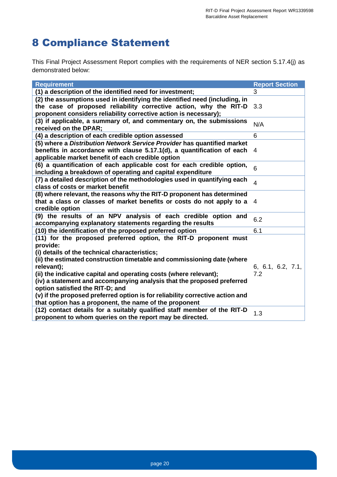## 8 Compliance Statement

This Final Project Assessment Report complies with the requirements of NER section 5.17.4(j) as demonstrated below:

| <b>Requirement</b>                                                            | <b>Report Section</b> |
|-------------------------------------------------------------------------------|-----------------------|
| (1) a description of the identified need for investment;                      | 3                     |
| (2) the assumptions used in identifying the identified need (including, in    |                       |
| the case of proposed reliability corrective action, why the RIT-D             | 3.3                   |
| proponent considers reliability corrective action is necessary);              |                       |
| (3) if applicable, a summary of, and commentary on, the submissions           |                       |
| received on the DPAR;                                                         | N/A                   |
| (4) a description of each credible option assessed                            | 6                     |
| (5) where a Distribution Network Service Provider has quantified market       |                       |
| benefits in accordance with clause 5.17.1(d), a quantification of each        | 4                     |
| applicable market benefit of each credible option                             |                       |
| (6) a quantification of each applicable cost for each credible option,        |                       |
| including a breakdown of operating and capital expenditure                    | 6                     |
| (7) a detailed description of the methodologies used in quantifying each      |                       |
| class of costs or market benefit                                              | $\overline{4}$        |
| (8) where relevant, the reasons why the RIT-D proponent has determined        |                       |
| that a class or classes of market benefits or costs do not apply to a         | 4                     |
| credible option                                                               |                       |
| (9) the results of an NPV analysis of each credible option and                |                       |
| accompanying explanatory statements regarding the results                     | 6.2                   |
| (10) the identification of the proposed preferred option                      | 6.1                   |
| (11) for the proposed preferred option, the RIT-D proponent must              |                       |
| provide:                                                                      |                       |
| (i) details of the technical characteristics;                                 |                       |
| (ii) the estimated construction timetable and commissioning date (where       |                       |
| relevant);                                                                    | 6, 6.1, 6.2, 7.1,     |
| (ii) the indicative capital and operating costs (where relevant);             | 7.2                   |
|                                                                               |                       |
| (iv) a statement and accompanying analysis that the proposed preferred        |                       |
| option satisfied the RIT-D; and                                               |                       |
| (v) if the proposed preferred option is for reliability corrective action and |                       |
| that option has a proponent, the name of the proponent                        |                       |
| (12) contact details for a suitably qualified staff member of the RIT-D       | 1.3                   |
| proponent to whom queries on the report may be directed.                      |                       |